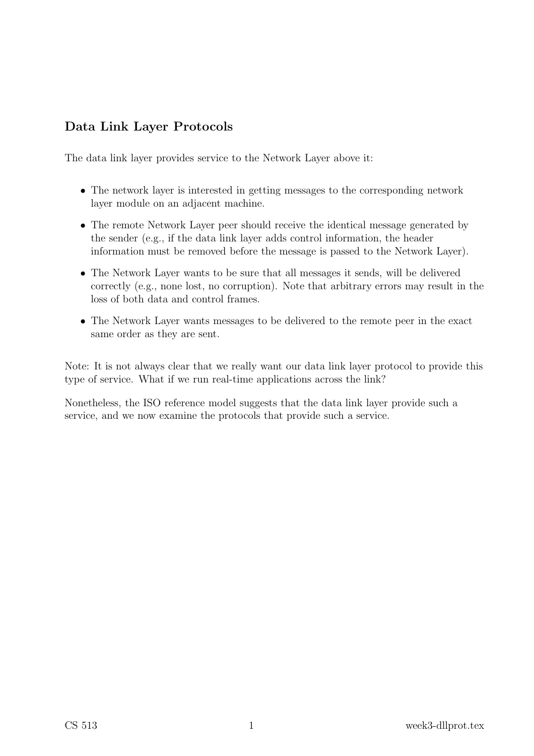# Data Link Layer Protocols

The data link layer provides service to the Network Layer above it:

- The network layer is interested in getting messages to the corresponding network layer module on an adjacent machine.
- The remote Network Layer peer should receive the identical message generated by the sender (e.g., if the data link layer adds control information, the header information must be removed before the message is passed to the Network Layer).
- The Network Layer wants to be sure that all messages it sends, will be delivered correctly (e.g., none lost, no corruption). Note that arbitrary errors may result in the loss of both data and control frames.
- The Network Layer wants messages to be delivered to the remote peer in the exact same order as they are sent.

Note: It is not always clear that we really want our data link layer protocol to provide this type of service. What if we run real-time applications across the link?

Nonetheless, the ISO reference model suggests that the data link layer provide such a service, and we now examine the protocols that provide such a service.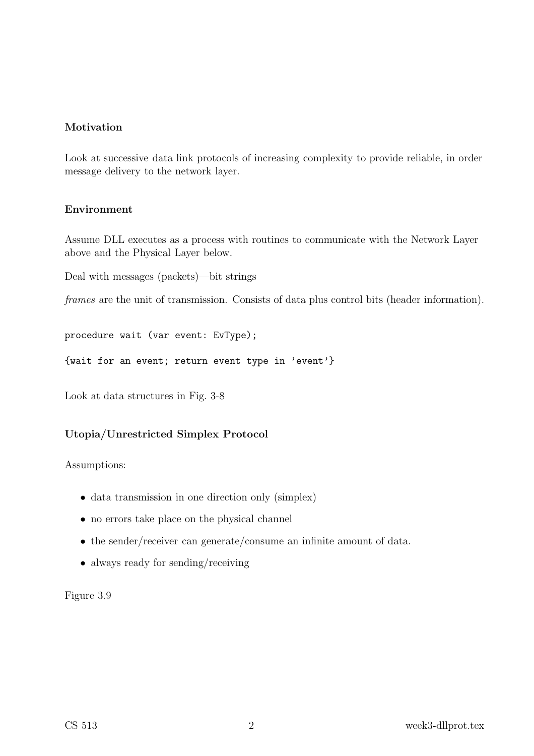### Motivation

Look at successive data link protocols of increasing complexity to provide reliable, in order message delivery to the network layer.

#### Environment

Assume DLL executes as a process with routines to communicate with the Network Layer above and the Physical Layer below.

Deal with messages (packets)—bit strings

frames are the unit of transmission. Consists of data plus control bits (header information).

procedure wait (var event: EvType);

{wait for an event; return event type in 'event'}

Look at data structures in Fig. 3-8

### Utopia/Unrestricted Simplex Protocol

Assumptions:

- data transmission in one direction only (simplex)
- no errors take place on the physical channel
- the sender/receiver can generate/consume an infinite amount of data.
- always ready for sending/receiving

Figure 3.9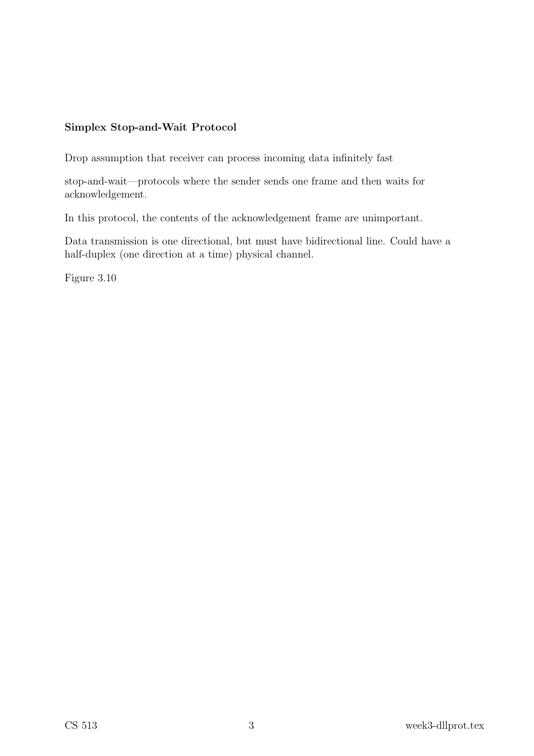# Simplex Stop-and-Wait Protocol

Drop assumption that receiver can process incoming data infinitely fast

stop-and-wait—protocols where the sender sends one frame and then waits for acknowledgement.

In this protocol, the contents of the acknowledgement frame are unimportant.

Data transmission is one directional, but must have bidirectional line. Could have a half-duplex (one direction at a time) physical channel.

Figure 3.10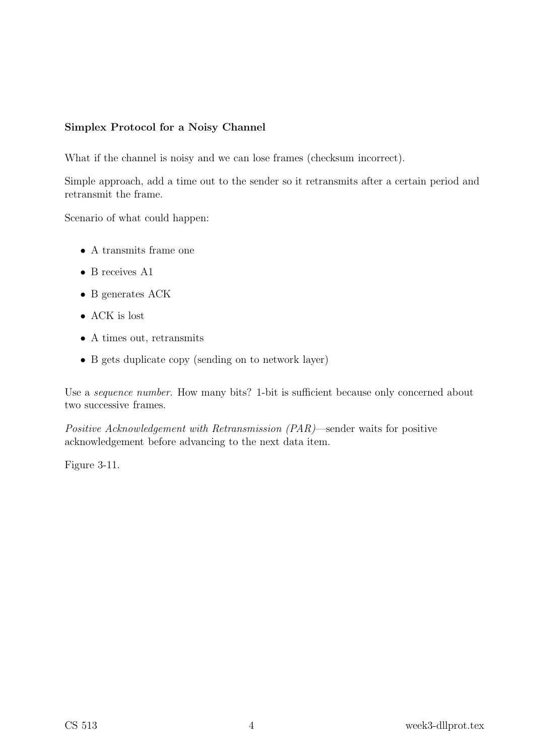### Simplex Protocol for a Noisy Channel

What if the channel is noisy and we can lose frames (checksum incorrect).

Simple approach, add a time out to the sender so it retransmits after a certain period and retransmit the frame.

Scenario of what could happen:

- A transmits frame one
- B receives A1
- B generates ACK
- ACK is lost
- A times out, retransmits
- B gets duplicate copy (sending on to network layer)

Use a *sequence number*. How many bits? 1-bit is sufficient because only concerned about two successive frames.

Positive Acknowledgement with Retransmission (PAR)—sender waits for positive acknowledgement before advancing to the next data item.

Figure 3-11.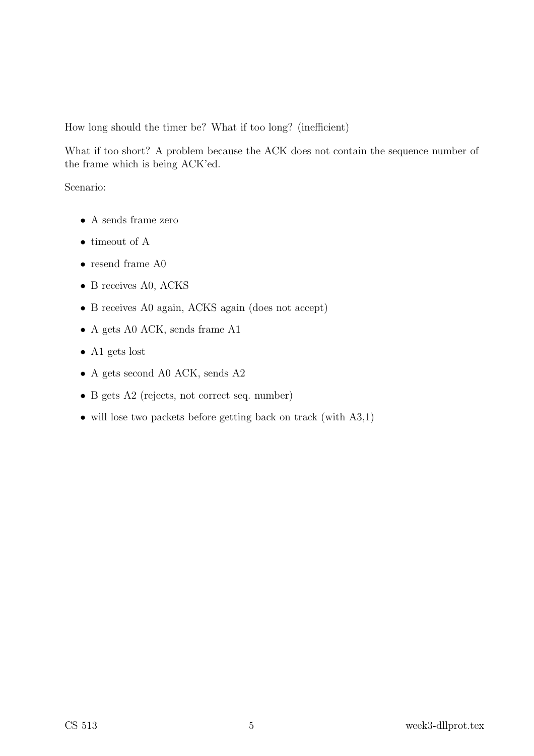How long should the timer be? What if too long? (inefficient)

What if too short? A problem because the ACK does not contain the sequence number of the frame which is being ACK'ed.

Scenario:

- A sends frame zero
- timeout of A
- resend frame A0
- B receives A0, ACKS
- B receives A0 again, ACKS again (does not accept)
- A gets A0 ACK, sends frame A1
- A1 gets lost
- A gets second A0 ACK, sends A2
- B gets A2 (rejects, not correct seq. number)
- will lose two packets before getting back on track (with A3,1)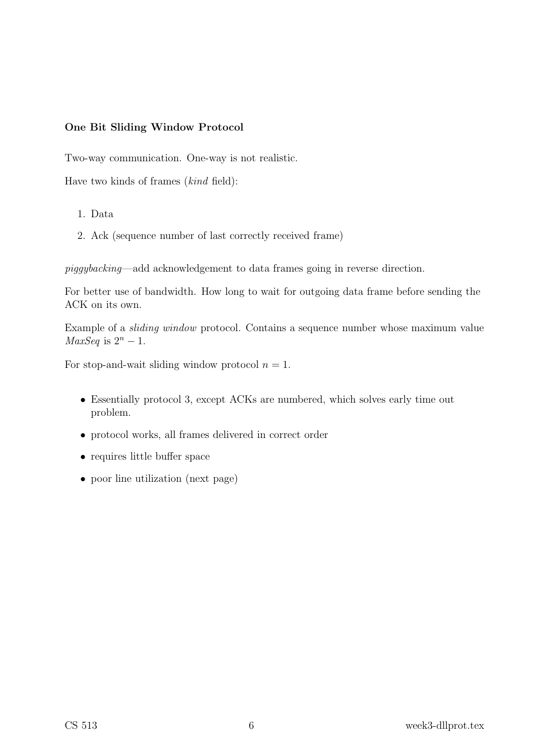### One Bit Sliding Window Protocol

Two-way communication. One-way is not realistic.

Have two kinds of frames (kind field):

- 1. Data
- 2. Ack (sequence number of last correctly received frame)

piggybacking—add acknowledgement to data frames going in reverse direction.

For better use of bandwidth. How long to wait for outgoing data frame before sending the ACK on its own.

Example of a sliding window protocol. Contains a sequence number whose maximum value  $MaxSeq$  is  $2^n - 1$ .

For stop-and-wait sliding window protocol  $n = 1$ .

- Essentially protocol 3, except ACKs are numbered, which solves early time out problem.
- protocol works, all frames delivered in correct order
- requires little buffer space
- poor line utilization (next page)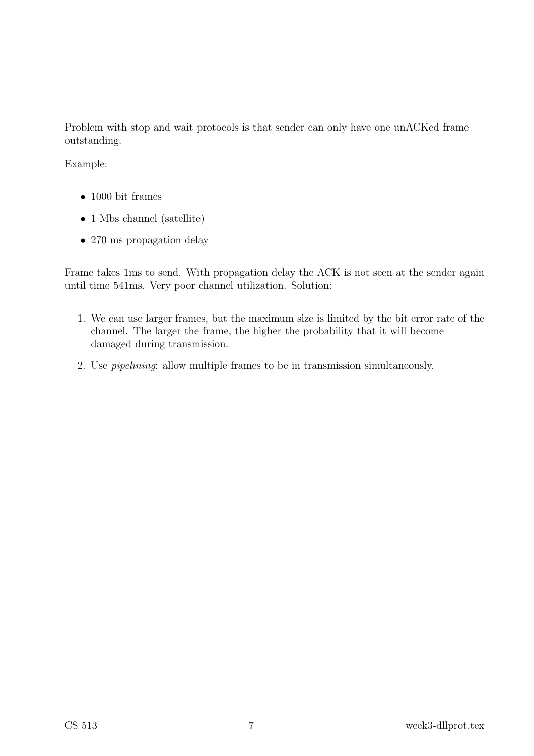Problem with stop and wait protocols is that sender can only have one unACKed frame outstanding.

Example:

- 1000 bit frames
- 1 Mbs channel (satellite)
- 270 ms propagation delay

Frame takes 1ms to send. With propagation delay the ACK is not seen at the sender again until time 541ms. Very poor channel utilization. Solution:

- 1. We can use larger frames, but the maximum size is limited by the bit error rate of the channel. The larger the frame, the higher the probability that it will become damaged during transmission.
- 2. Use pipelining: allow multiple frames to be in transmission simultaneously.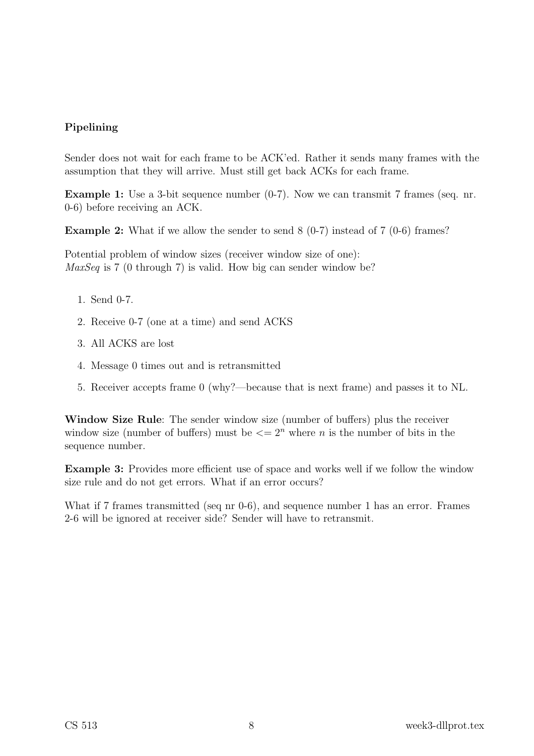# Pipelining

Sender does not wait for each frame to be ACK'ed. Rather it sends many frames with the assumption that they will arrive. Must still get back ACKs for each frame.

Example 1: Use a 3-bit sequence number (0-7). Now we can transmit 7 frames (seq. nr. 0-6) before receiving an ACK.

Example 2: What if we allow the sender to send 8 (0-7) instead of 7 (0-6) frames?

Potential problem of window sizes (receiver window size of one):  $MaxSeq$  is 7 (0 through 7) is valid. How big can sender window be?

- 1. Send 0-7.
- 2. Receive 0-7 (one at a time) and send ACKS
- 3. All ACKS are lost
- 4. Message 0 times out and is retransmitted
- 5. Receiver accepts frame 0 (why?—because that is next frame) and passes it to NL.

Window Size Rule: The sender window size (number of buffers) plus the receiver window size (number of buffers) must be  $\langle 2^n \rangle$  where n is the number of bits in the sequence number.

Example 3: Provides more efficient use of space and works well if we follow the window size rule and do not get errors. What if an error occurs?

What if 7 frames transmitted (seq nr 0-6), and sequence number 1 has an error. Frames 2-6 will be ignored at receiver side? Sender will have to retransmit.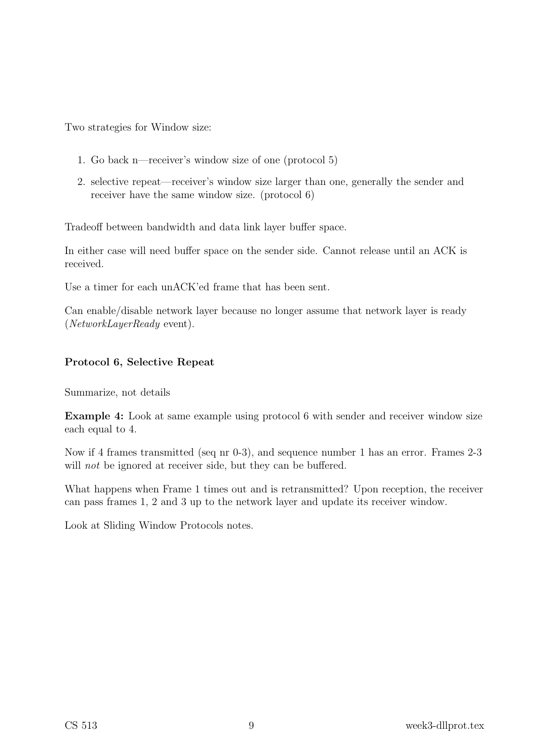Two strategies for Window size:

- 1. Go back n—receiver's window size of one (protocol 5)
- 2. selective repeat—receiver's window size larger than one, generally the sender and receiver have the same window size. (protocol 6)

Tradeoff between bandwidth and data link layer buffer space.

In either case will need buffer space on the sender side. Cannot release until an ACK is received.

Use a timer for each unACK'ed frame that has been sent.

Can enable/disable network layer because no longer assume that network layer is ready (NetworkLayerReady event).

### Protocol 6, Selective Repeat

Summarize, not details

Example 4: Look at same example using protocol 6 with sender and receiver window size each equal to 4.

Now if 4 frames transmitted (seq nr 0-3), and sequence number 1 has an error. Frames 2-3 will *not* be ignored at receiver side, but they can be buffered.

What happens when Frame 1 times out and is retransmitted? Upon reception, the receiver can pass frames 1, 2 and 3 up to the network layer and update its receiver window.

Look at Sliding Window Protocols notes.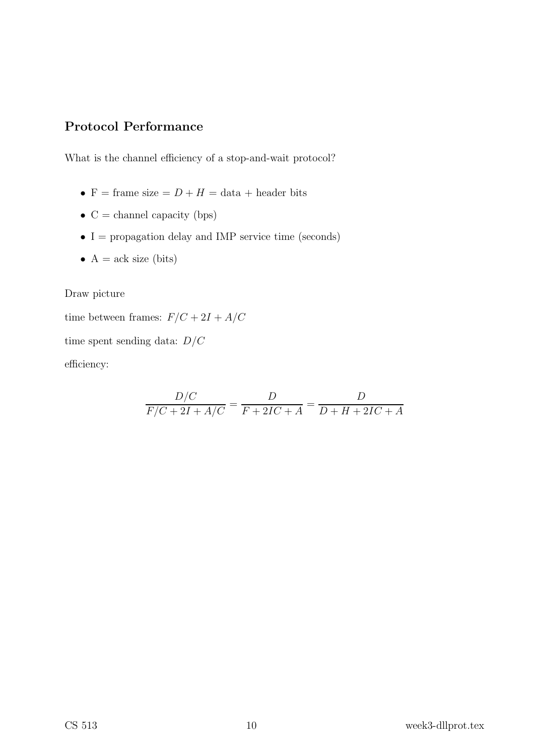# Protocol Performance

What is the channel efficiency of a stop-and-wait protocol?

- F = frame size =  $D + H = \text{data} + \text{header bits}$
- $\bullet\,$  C  $=$  channel capacity (bps)
- $\bullet$   $I=$  propagation delay and IMP service time (seconds)
- $\bullet\,$  A  $=$  ack size (bits)

Draw picture

time between frames:  $F/C+2I+A/C$ 

time spent sending data:  $D/C$ 

efficiency:

$$
\frac{D/C}{F/C+2I+A/C} = \frac{D}{F+2IC+A} = \frac{D}{D+H+2IC+A}
$$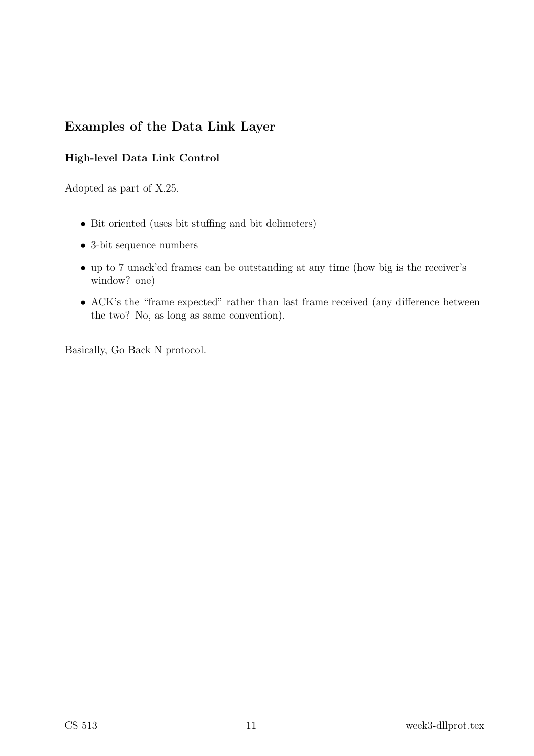# Examples of the Data Link Layer

# High-level Data Link Control

Adopted as part of X.25.

- Bit oriented (uses bit stuffing and bit delimeters)
- 3-bit sequence numbers
- up to 7 unack'ed frames can be outstanding at any time (how big is the receiver's window? one)
- ACK's the "frame expected" rather than last frame received (any difference between the two? No, as long as same convention).

Basically, Go Back N protocol.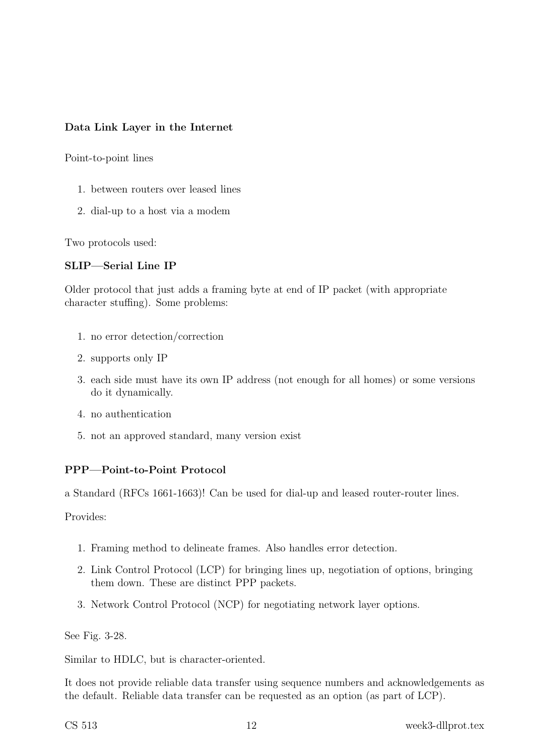### Data Link Layer in the Internet

Point-to-point lines

- 1. between routers over leased lines
- 2. dial-up to a host via a modem

Two protocols used:

### SLIP—Serial Line IP

Older protocol that just adds a framing byte at end of IP packet (with appropriate character stuffing). Some problems:

- 1. no error detection/correction
- 2. supports only IP
- 3. each side must have its own IP address (not enough for all homes) or some versions do it dynamically.
- 4. no authentication
- 5. not an approved standard, many version exist

### PPP—Point-to-Point Protocol

a Standard (RFCs 1661-1663)! Can be used for dial-up and leased router-router lines.

Provides:

- 1. Framing method to delineate frames. Also handles error detection.
- 2. Link Control Protocol (LCP) for bringing lines up, negotiation of options, bringing them down. These are distinct PPP packets.
- 3. Network Control Protocol (NCP) for negotiating network layer options.

See Fig. 3-28.

Similar to HDLC, but is character-oriented.

It does not provide reliable data transfer using sequence numbers and acknowledgements as the default. Reliable data transfer can be requested as an option (as part of LCP).